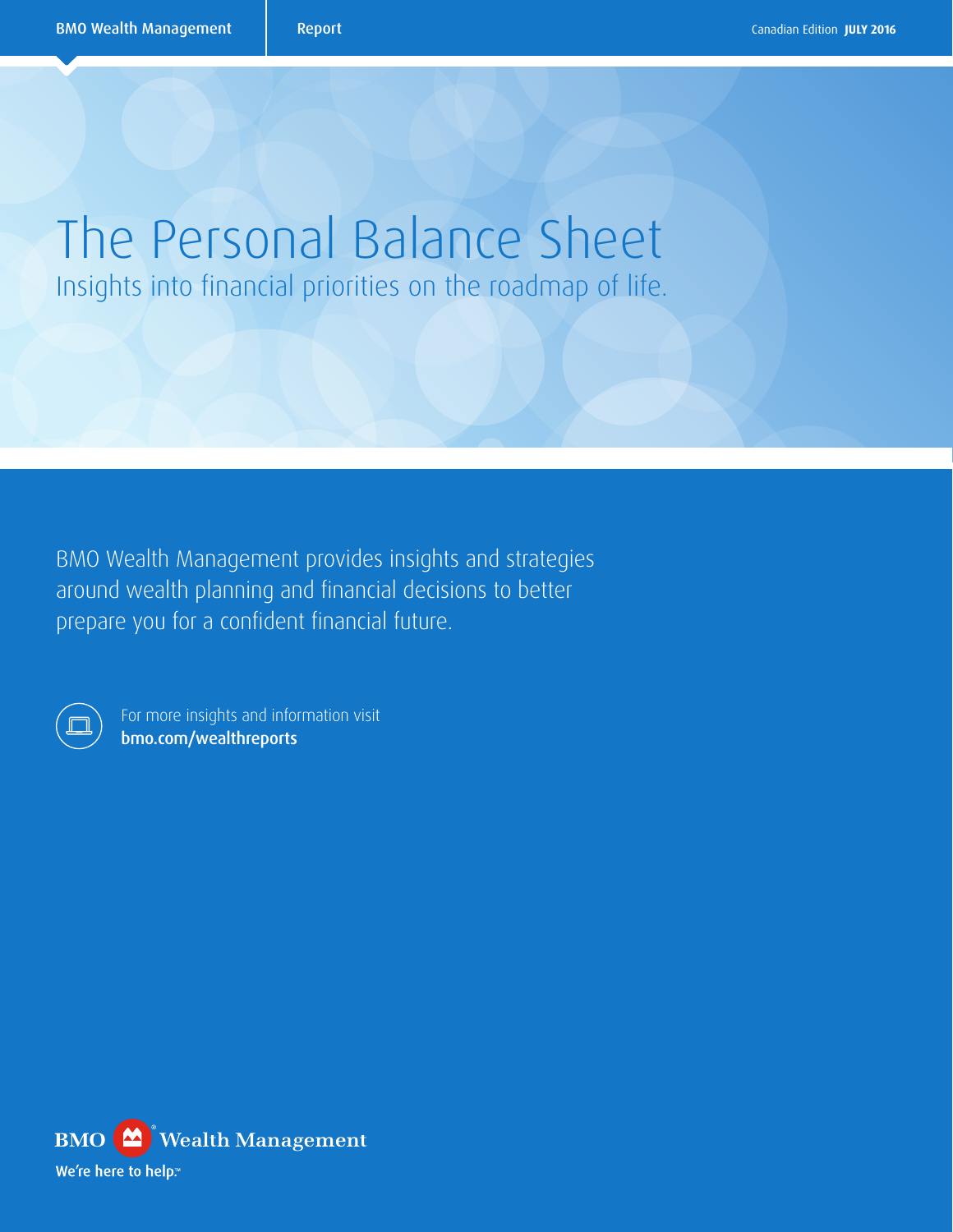# The Personal Balance Sheet Insights into financial priorities on the roadmap of life.

BMO Wealth Management provides insights and strategies around wealth planning and financial decisions to better prepare you for a confident financial future.

For more insights and information visit [bmo.com/wealthreports](http://www.bmo.com/main/wealth-management/wealth-insights?icid=tl-US5609WM1-CYMCA14#wealth-reports)

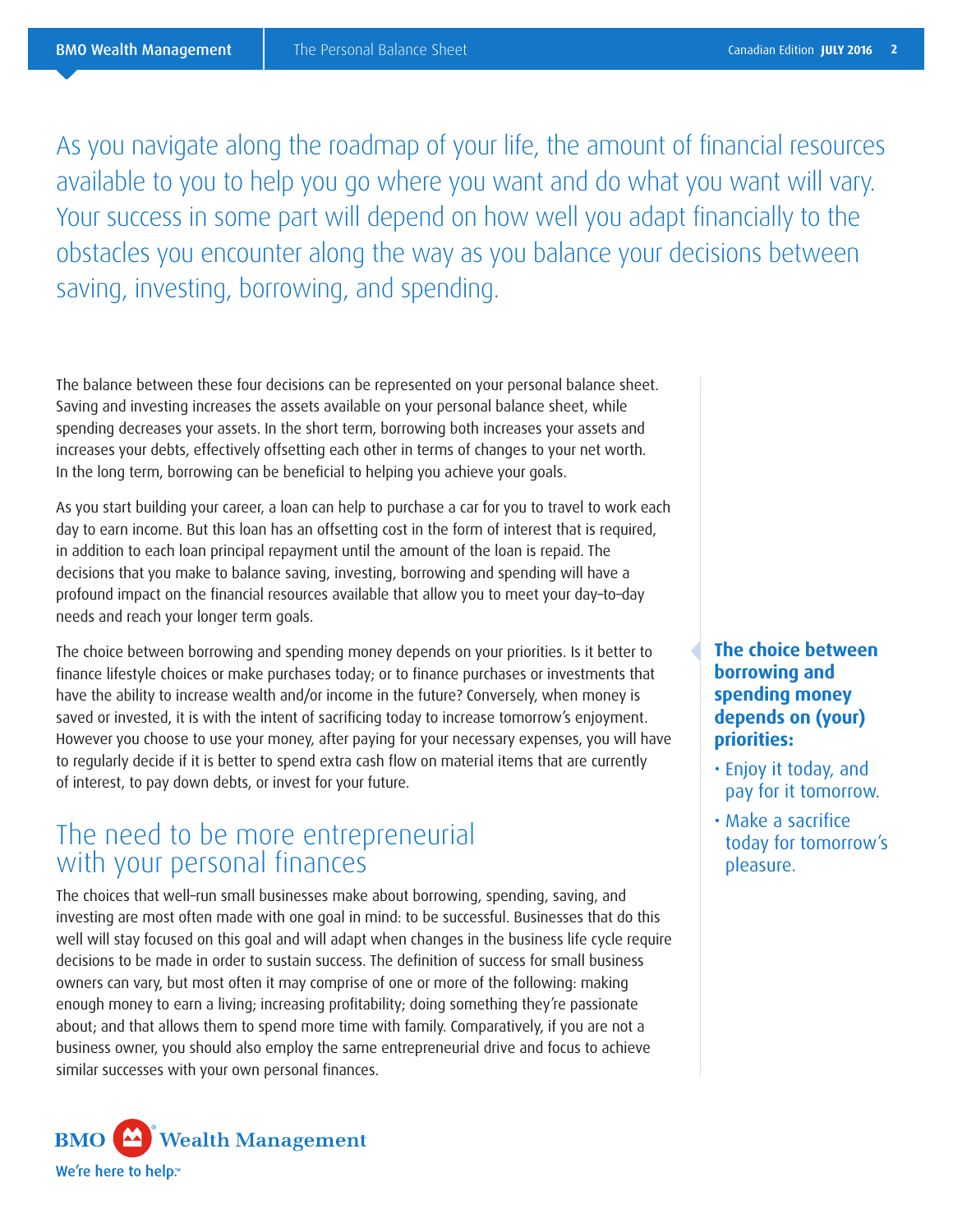As you navigate along the roadmap of your life, the amount of financial resources available to you to help you go where you want and do what you want will vary. Your success in some part will depend on how well you adapt financially to the obstacles you encounter along the way as you balance your decisions between saving, investing, borrowing, and spending.

The balance between these four decisions can be represented on your personal balance sheet. Saving and investing increases the assets available on your personal balance sheet, while spending decreases your assets. In the short term, borrowing both increases your assets and increases your debts, effectively offsetting each other in terms of changes to your net worth. In the long term, borrowing can be beneficial to helping you achieve your goals.

As you start building your career, a loan can help to purchase a car for you to travel to work each day to earn income. But this loan has an offsetting cost in the form of interest that is required, in addition to each loan principal repayment until the amount of the loan is repaid. The decisions that you make to balance saving, investing, borrowing and spending will have a profound impact on the financial resources available that allow you to meet your day–to–day needs and reach your longer term goals.

The choice between borrowing and spending money depends on your priorities. Is it better to finance lifestyle choices or make purchases today; or to finance purchases or investments that have the ability to increase wealth and/or income in the future? Conversely, when money is saved or invested, it is with the intent of sacrificing today to increase tomorrow's enjoyment. However you choose to use your money, after paying for your necessary expenses, you will have to regularly decide if it is better to spend extra cash flow on material items that are currently of interest, to pay down debts, or invest for your future.

### The need to be more entrepreneurial with your personal finances

The choices that well–run small businesses make about borrowing, spending, saving, and investing are most often made with one goal in mind: to be successful. Businesses that do this well will stay focused on this goal and will adapt when changes in the business life cycle require decisions to be made in order to sustain success. The definition of success for small business owners can vary, but most often it may comprise of one or more of the following: making enough money to earn a living; increasing profitability; doing something they're passionate about; and that allows them to spend more time with family. Comparatively, if you are not a business owner, you should also employ the same entrepreneurial drive and focus to achieve similar successes with your own personal finances.



#### **The choice between borrowing and spending money depends on (your) priorities:**

- Enjoy it today, and pay for it tomorrow.
- Make a sacrifice today for tomorrow's pleasure.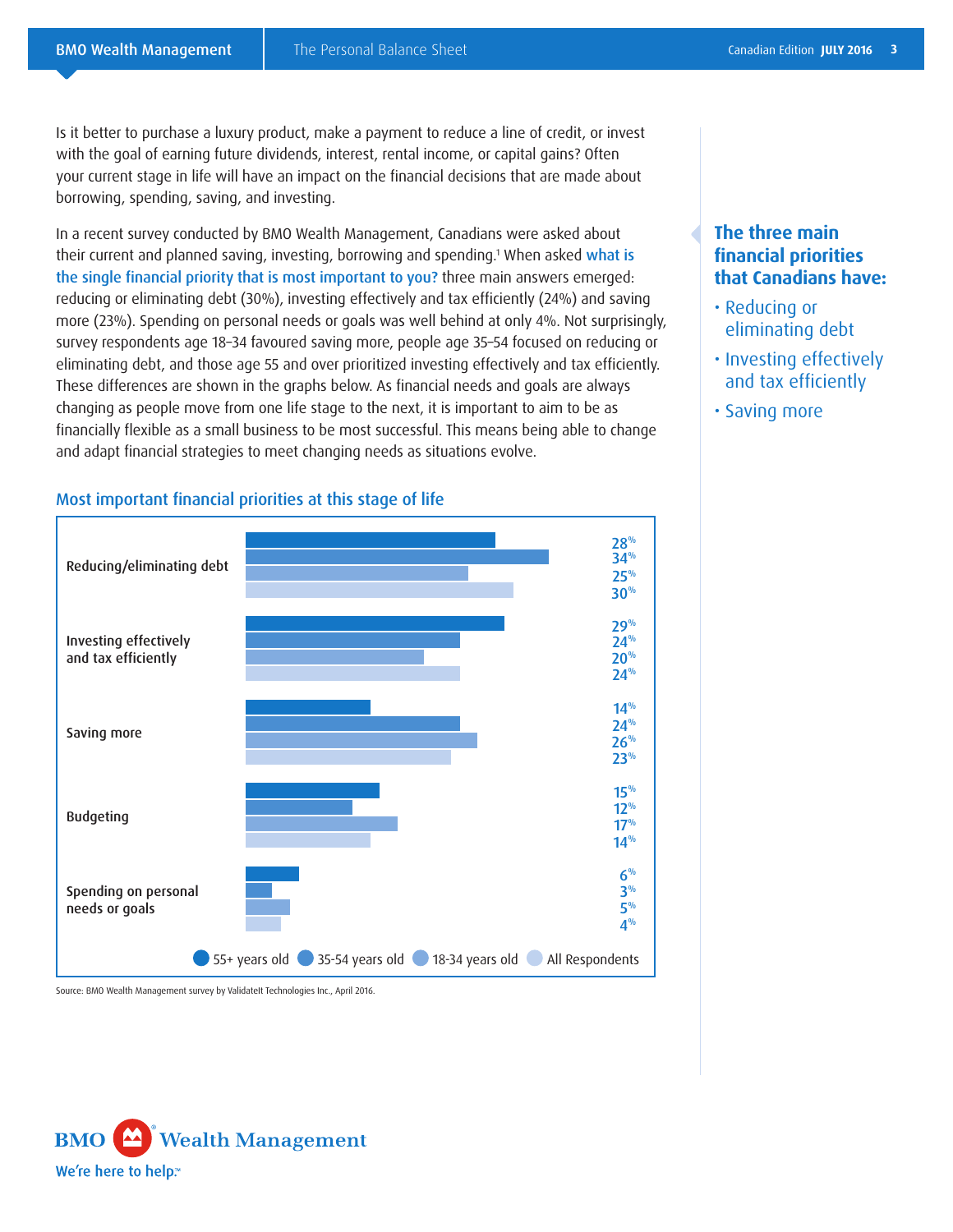Is it better to purchase a luxury product, make a payment to reduce a line of credit, or invest with the goal of earning future dividends, interest, rental income, or capital gains? Often your current stage in life will have an impact on the financial decisions that are made about borrowing, spending, saving, and investing.

In a recent survey conducted by BMO Wealth Management, Canadians were asked about their current and planned saving, investing, borrowing and spending.<sup>1</sup> When asked what is the single financial priority that is most important to you? three main answers emerged: reducing or eliminating debt (30%), investing effectively and tax efficiently (24%) and saving more (23%). Spending on personal needs or goals was well behind at only 4%. Not surprisingly, survey respondents age 18–34 favoured saving more, people age 35–54 focused on reducing or eliminating debt, and those age 55 and over prioritized investing effectively and tax efficiently. These differences are shown in the graphs below. As financial needs and goals are always changing as people move from one life stage to the next, it is important to aim to be as financially flexible as a small business to be most successful. This means being able to change and adapt financial strategies to meet changing needs as situations evolve.

#### $28%$ 25% 34% 30% 29% 20%  $24%$  $24%$  $14%$  $26%$  $24%$ 23% 15%  $17%$  $12\%$  $14%$ 6% 5%  $3%$  $4\%$ Reducing/eliminating debt Budgeting Saving more Investing effectively and tax efficiently Spending on personal needs or goals **55+ years old 35-54 years old 18-34 years old All Respondents**

#### Most important financial priorities at this stage of life

Source: BMO Wealth Management survey by ValidateIt Technologies Inc., April 2016.



#### **The three main financial priorities that Canadians have:**

- Reducing or eliminating debt
- Investing effectively and tax efficiently
- Saving more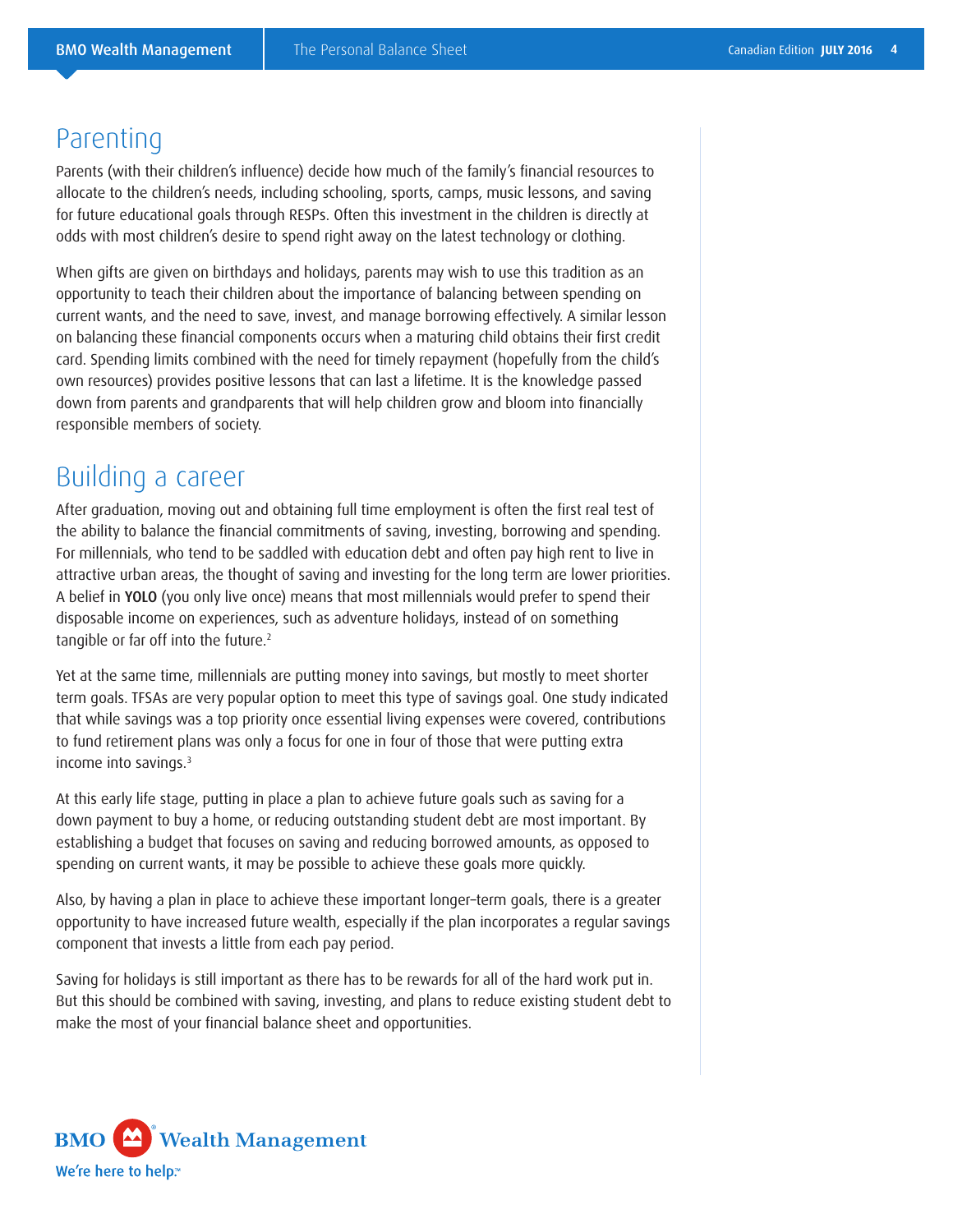### **Parenting**

Parents (with their children's influence) decide how much of the family's financial resources to allocate to the children's needs, including schooling, sports, camps, music lessons, and saving for future educational goals through RESPs. Often this investment in the children is directly at odds with most children's desire to spend right away on the latest technology or clothing.

When gifts are given on birthdays and holidays, parents may wish to use this tradition as an opportunity to teach their children about the importance of balancing between spending on current wants, and the need to save, invest, and manage borrowing effectively. A similar lesson on balancing these financial components occurs when a maturing child obtains their first credit card. Spending limits combined with the need for timely repayment (hopefully from the child's own resources) provides positive lessons that can last a lifetime. It is the knowledge passed down from parents and grandparents that will help children grow and bloom into financially responsible members of society.

### Building a career

After graduation, moving out and obtaining full time employment is often the first real test of the ability to balance the financial commitments of saving, investing, borrowing and spending. For millennials, who tend to be saddled with education debt and often pay high rent to live in attractive urban areas, the thought of saving and investing for the long term are lower priorities. A belief in YOLO (you only live once) means that most millennials would prefer to spend their disposable income on experiences, such as adventure holidays, instead of on something tangible or far off into the future.<sup>2</sup>

Yet at the same time, millennials are putting money into savings, but mostly to meet shorter term goals. TFSAs are very popular option to meet this type of savings goal. One study indicated that while savings was a top priority once essential living expenses were covered, contributions to fund retirement plans was only a focus for one in four of those that were putting extra income into savings.3

At this early life stage, putting in place a plan to achieve future goals such as saving for a down payment to buy a home, or reducing outstanding student debt are most important. By establishing a budget that focuses on saving and reducing borrowed amounts, as opposed to spending on current wants, it may be possible to achieve these goals more quickly.

Also, by having a plan in place to achieve these important longer–term goals, there is a greater opportunity to have increased future wealth, especially if the plan incorporates a regular savings component that invests a little from each pay period.

Saving for holidays is still important as there has to be rewards for all of the hard work put in. But this should be combined with saving, investing, and plans to reduce existing student debt to make the most of your financial balance sheet and opportunities.

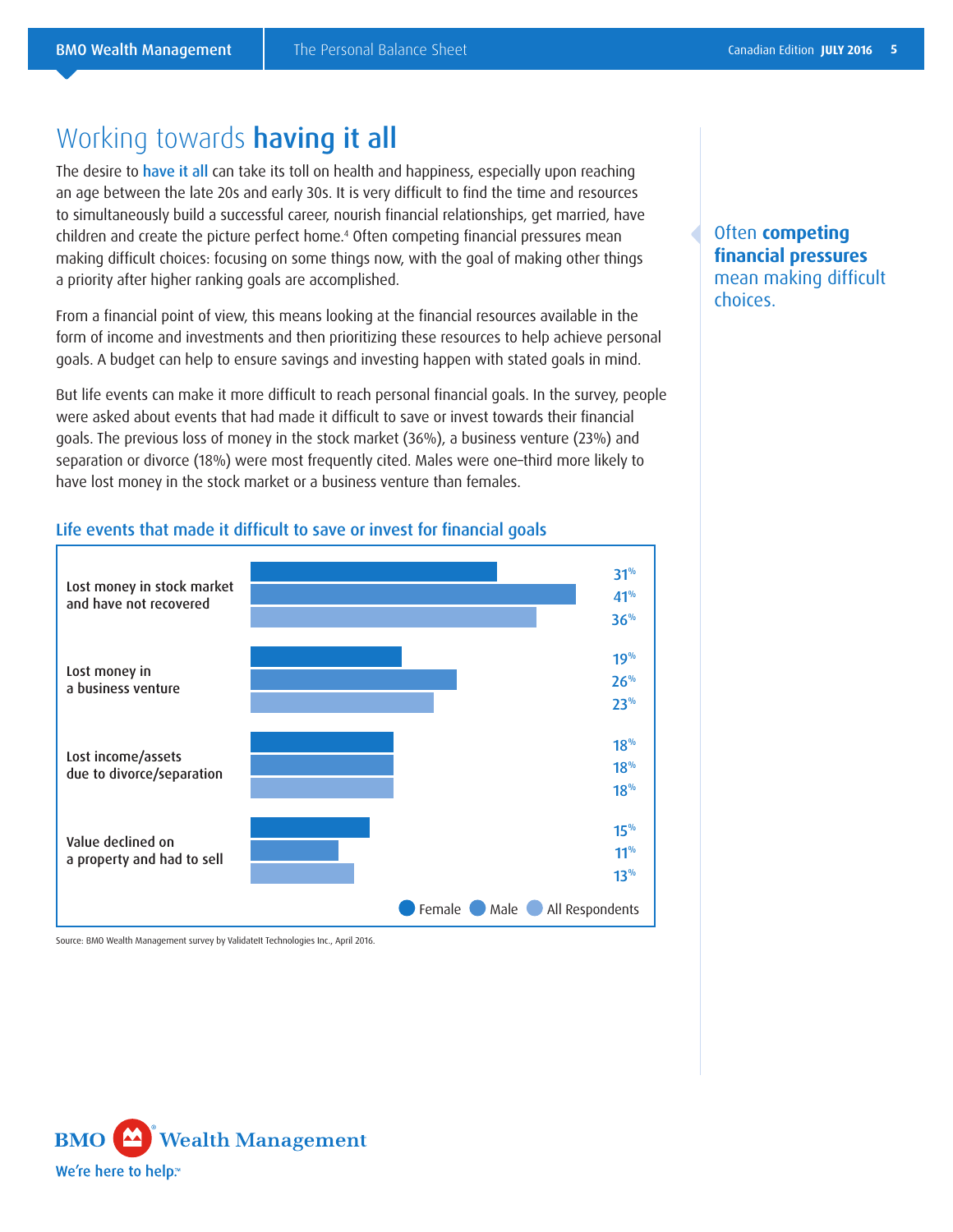### Working towards **having it all**

The desire to have it all can take its toll on health and happiness, especially upon reaching an age between the late 20s and early 30s. It is very difficult to find the time and resources to simultaneously build a successful career, nourish financial relationships, get married, have children and create the picture perfect home.4 Often competing financial pressures mean making difficult choices: focusing on some things now, with the goal of making other things a priority after higher ranking goals are accomplished.

From a financial point of view, this means looking at the financial resources available in the form of income and investments and then prioritizing these resources to help achieve personal goals. A budget can help to ensure savings and investing happen with stated goals in mind.

But life events can make it more difficult to reach personal financial goals. In the survey, people were asked about events that had made it difficult to save or invest towards their financial goals. The previous loss of money in the stock market (36%), a business venture (23%) and separation or divorce (18%) were most frequently cited. Males were one–third more likely to have lost money in the stock market or a business venture than females.



#### Life events that made it difficult to save or invest for financial goals

Source: BMO Wealth Management survey by ValidateIt Technologies Inc., April 2016.



#### Often **competing financial pressures** mean making difficult choices.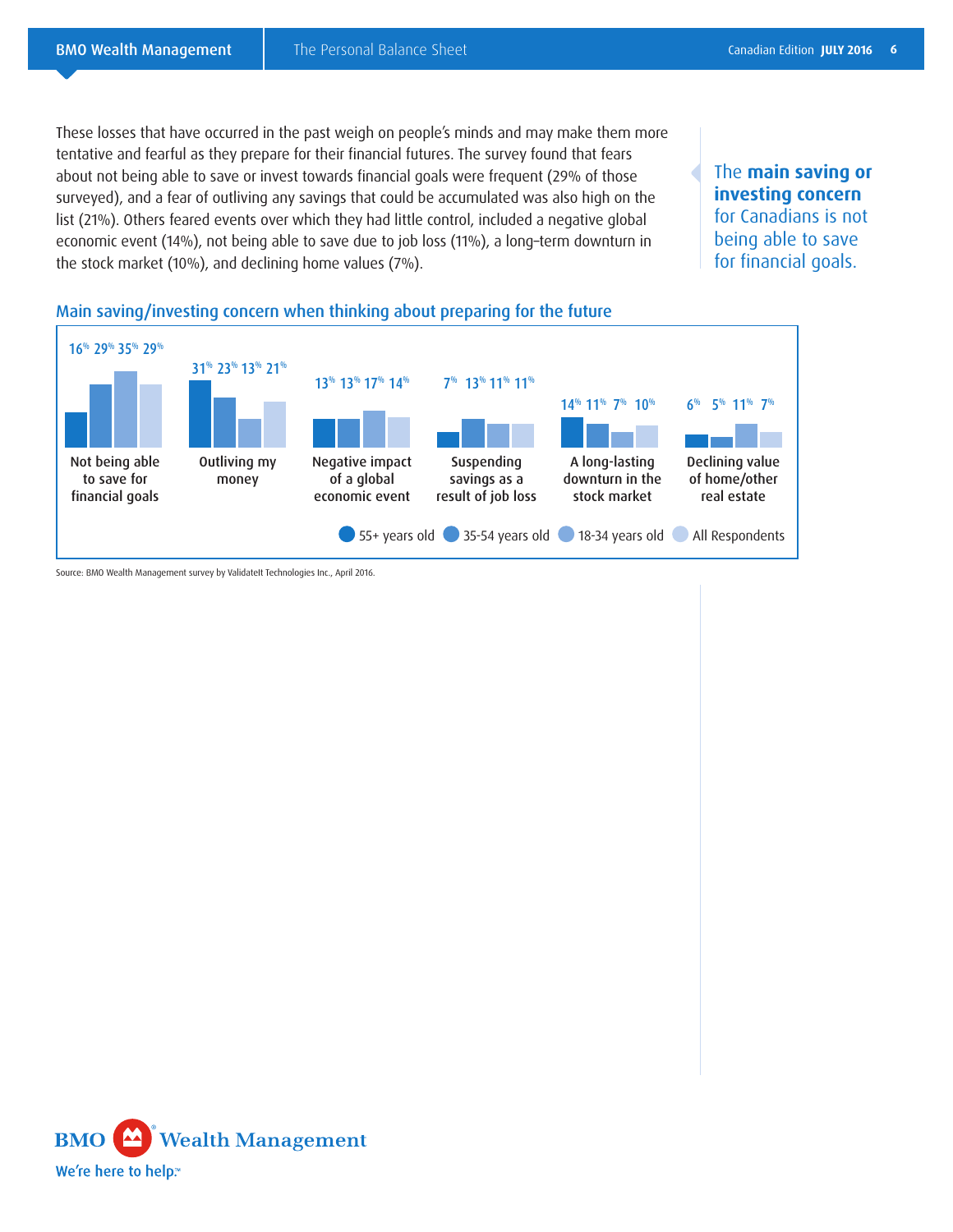These losses that have occurred in the past weigh on people's minds and may make them more tentative and fearful as they prepare for their financial futures. The survey found that fears about not being able to save or invest towards financial goals were frequent (29% of those surveyed), and a fear of outliving any savings that could be accumulated was also high on the list (21%). Others feared events over which they had little control, included a negative global economic event (14%), not being able to save due to job loss (11%), a long–term downturn in the stock market (10%), and declining home values (7%).

The **main saving or investing concern**  for Canadians is not being able to save for financial goals.





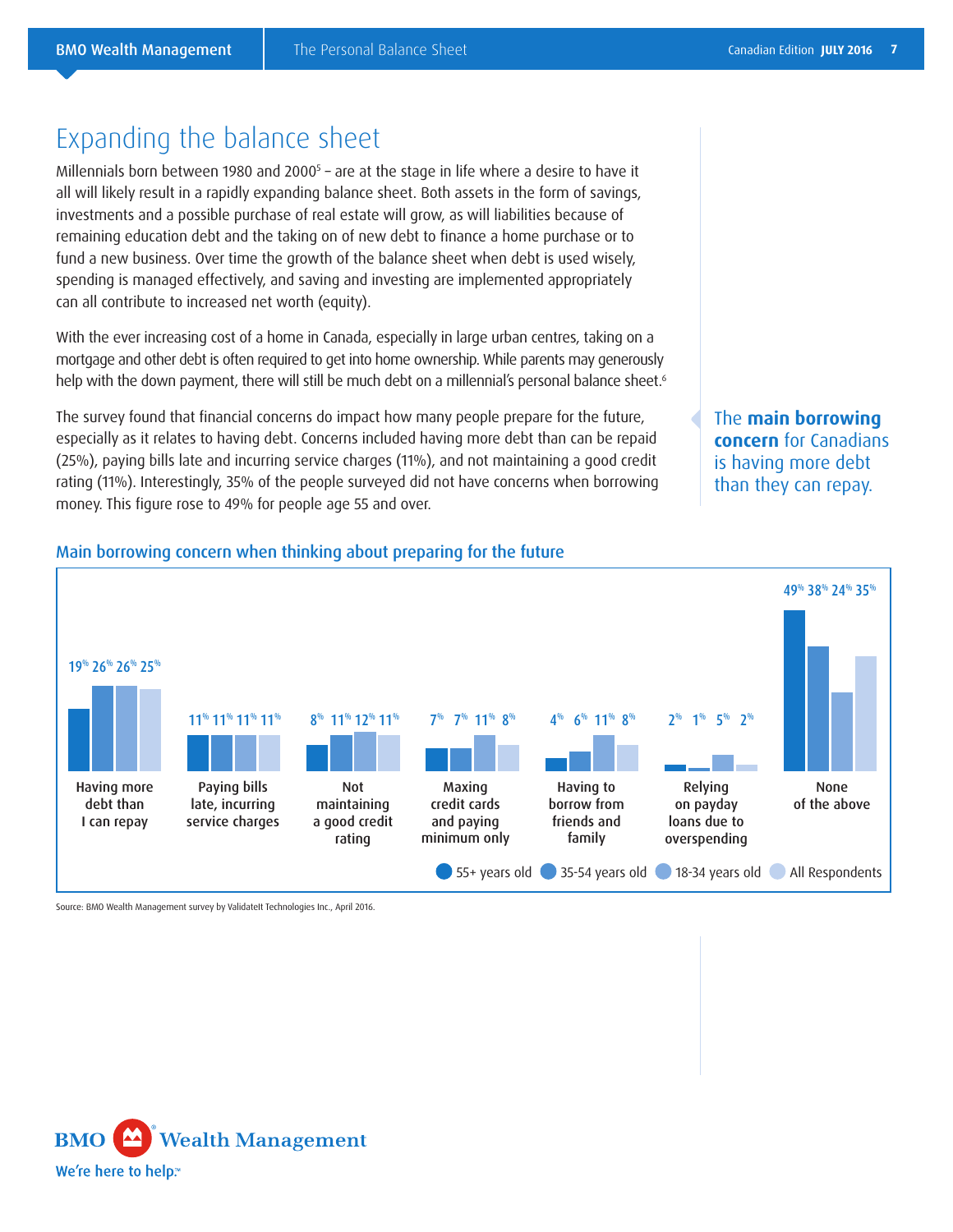### Expanding the balance sheet

Millennials born between 1980 and 2000<sup>s</sup> – are at the stage in life where a desire to have it all will likely result in a rapidly expanding balance sheet. Both assets in the form of savings, investments and a possible purchase of real estate will grow, as will liabilities because of remaining education debt and the taking on of new debt to finance a home purchase or to fund a new business. Over time the growth of the balance sheet when debt is used wisely, spending is managed effectively, and saving and investing are implemented appropriately can all contribute to increased net worth (equity).

With the ever increasing cost of a home in Canada, especially in large urban centres, taking on a mortgage and other debt is often required to get into home ownership. While parents may generously help with the down payment, there will still be much debt on a millennial's personal balance sheet.<sup>6</sup>

The survey found that financial concerns do impact how many people prepare for the future, especially as it relates to having debt. Concerns included having more debt than can be repaid (25%), paying bills late and incurring service charges (11%), and not maintaining a good credit rating (11%). Interestingly, 35% of the people surveyed did not have concerns when borrowing money. This figure rose to 49% for people age 55 and over.

The **main borrowing concern** for Canadians is having more debt than they can repay.

#### Main borrowing concern when thinking about preparing for the future



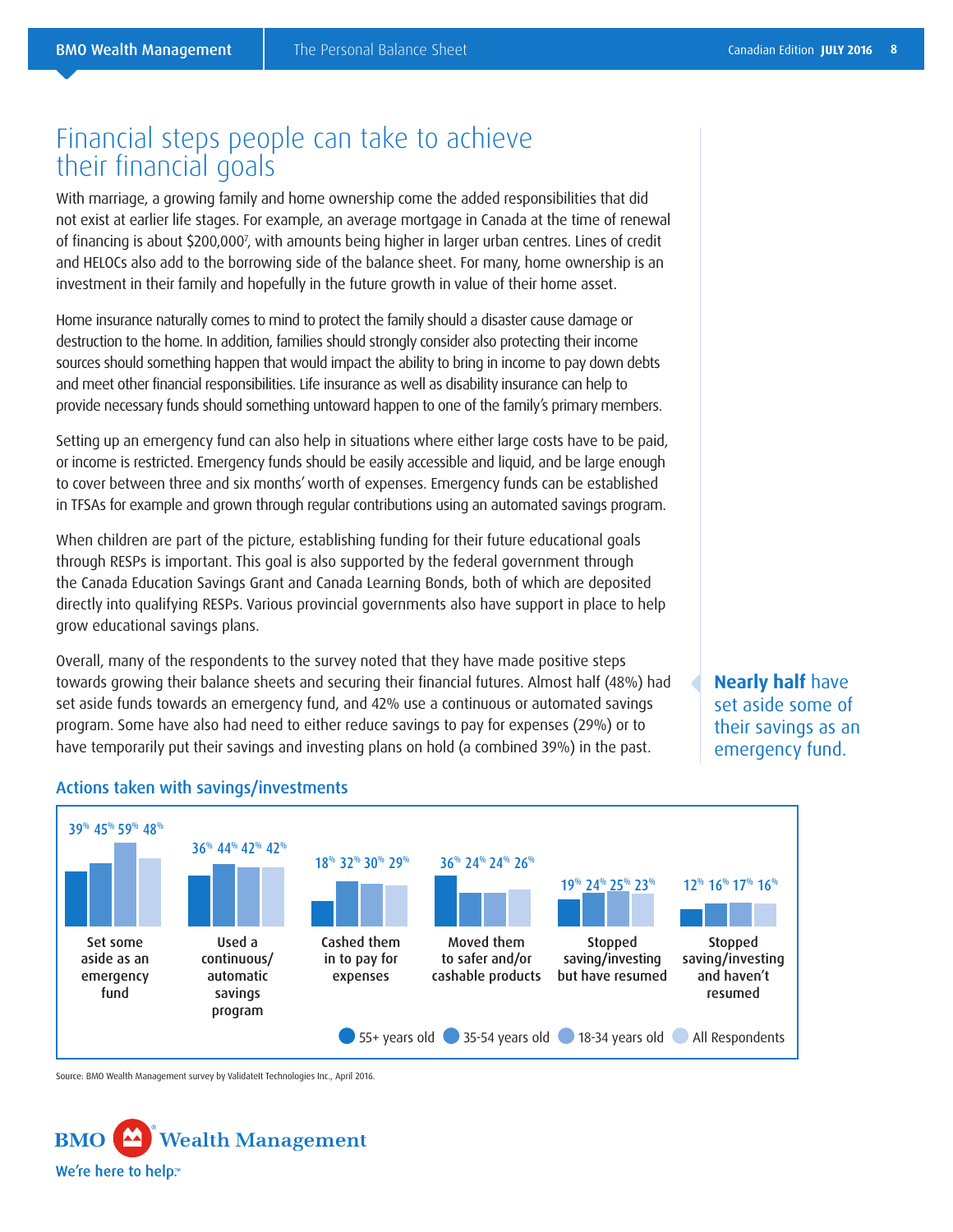### Financial steps people can take to achieve their financial goals

With marriage, a growing family and home ownership come the added responsibilities that did not exist at earlier life stages. For example, an average mortgage in Canada at the time of renewal of financing is about \$200,0007 , with amounts being higher in larger urban centres. Lines of credit and HELOCs also add to the borrowing side of the balance sheet. For many, home ownership is an investment in their family and hopefully in the future growth in value of their home asset.

Home insurance naturally comes to mind to protect the family should a disaster cause damage or destruction to the home. In addition, families should strongly consider also protecting their income sources should something happen that would impact the ability to bring in income to pay down debts and meet other financial responsibilities. Life insurance as well as disability insurance can help to provide necessary funds should something untoward happen to one of the family's primary members.

Setting up an emergency fund can also help in situations where either large costs have to be paid, or income is restricted. Emergency funds should be easily accessible and liquid, and be large enough to cover between three and six months' worth of expenses. Emergency funds can be established in TFSAs for example and grown through regular contributions using an automated savings program.

When children are part of the picture, establishing funding for their future educational goals through RESPs is important. This goal is also supported by the federal government through the Canada Education Savings Grant and Canada Learning Bonds, both of which are deposited directly into qualifying RESPs. Various provincial governments also have support in place to help grow educational savings plans.

Overall, many of the respondents to the survey noted that they have made positive steps towards growing their balance sheets and securing their financial futures. Almost half (48%) had set aside funds towards an emergency fund, and 42% use a continuous or automated savings program. Some have also had need to either reduce savings to pay for expenses (29%) or to have temporarily put their savings and investing plans on hold (a combined 39%) in the past.

**Nearly half** have set aside some of their savings as an emergency fund.



#### Actions taken with savings/investments

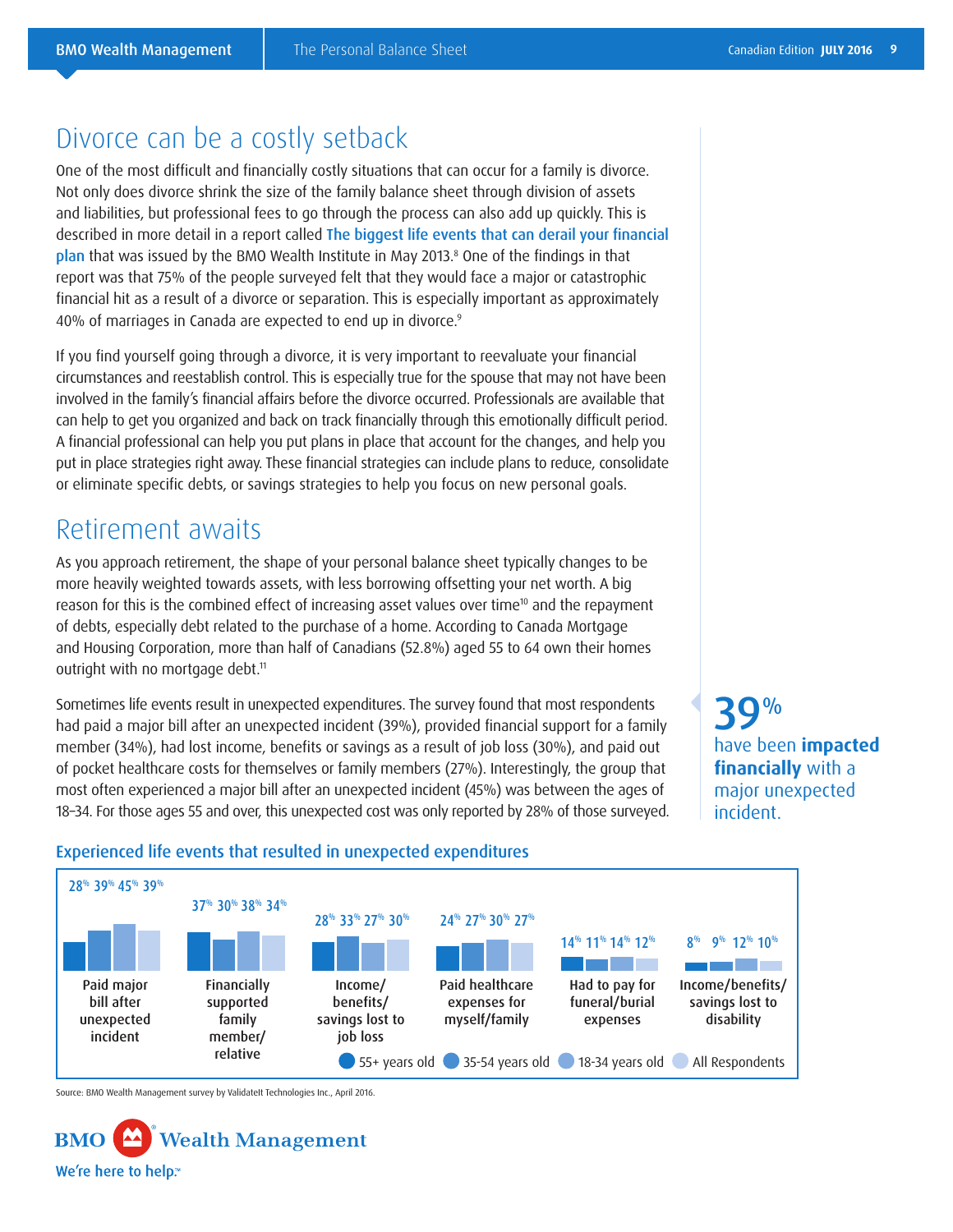### Divorce can be a costly setback

One of the most difficult and financially costly situations that can occur for a family is divorce. Not only does divorce shrink the size of the family balance sheet through division of assets and liabilities, but professional fees to go through the process can also add up quickly. This is described in more detail in a report called The biggest life events that can derail your financial plan that was issued by the BMO Wealth Institute in May 2013.<sup>8</sup> One of the findings in that report was that 75% of the people surveyed felt that they would face a major or catastrophic financial hit as a result of a divorce or separation. This is especially important as approximately 40% of marriages in Canada are expected to end up in divorce.<sup>9</sup>

If you find yourself going through a divorce, it is very important to reevaluate your financial circumstances and reestablish control. This is especially true for the spouse that may not have been involved in the family's financial affairs before the divorce occurred. Professionals are available that can help to get you organized and back on track financially through this emotionally difficult period. A financial professional can help you put plans in place that account for the changes, and help you put in place strategies right away. These financial strategies can include plans to reduce, consolidate or eliminate specific debts, or savings strategies to help you focus on new personal goals.

#### Retirement awaits

As you approach retirement, the shape of your personal balance sheet typically changes to be more heavily weighted towards assets, with less borrowing offsetting your net worth. A big reason for this is the combined effect of increasing asset values over time<sup>10</sup> and the repayment of debts, especially debt related to the purchase of a home. According to Canada Mortgage and Housing Corporation, more than half of Canadians (52.8%) aged 55 to 64 own their homes outright with no mortgage debt.<sup>11</sup>

Sometimes life events result in unexpected expenditures. The survey found that most respondents had paid a major bill after an unexpected incident (39%), provided financial support for a family member (34%), had lost income, benefits or savings as a result of job loss (30%), and paid out of pocket healthcare costs for themselves or family members (27%). Interestingly, the group that most often experienced a major bill after an unexpected incident (45%) was between the ages of 18–34. For those ages 55 and over, this unexpected cost was only reported by 28% of those surveyed.

 ${\bf Q}^{0\!\prime\! 0}$ have been **impacted financially** with a major unexpected incident.

#### 28% 39% 45% 39% 37% 30% 38% 34% 28% 33% 27% 30% 24% 27% 30% 27% 14% 11% 14% 12% 8% 9% 12% 10% Income/ benefits/ savings lost to job loss Financially supported family member/ relative Paid major bill after unexpected incident Income/benefits/ savings lost to disability Had to pay for funeral/burial expenses Paid healthcare expenses for myself/family 55+ years old 35-54 years old 18-34 years old All Respondents

#### Experienced life events that resulted in unexpected expenditures

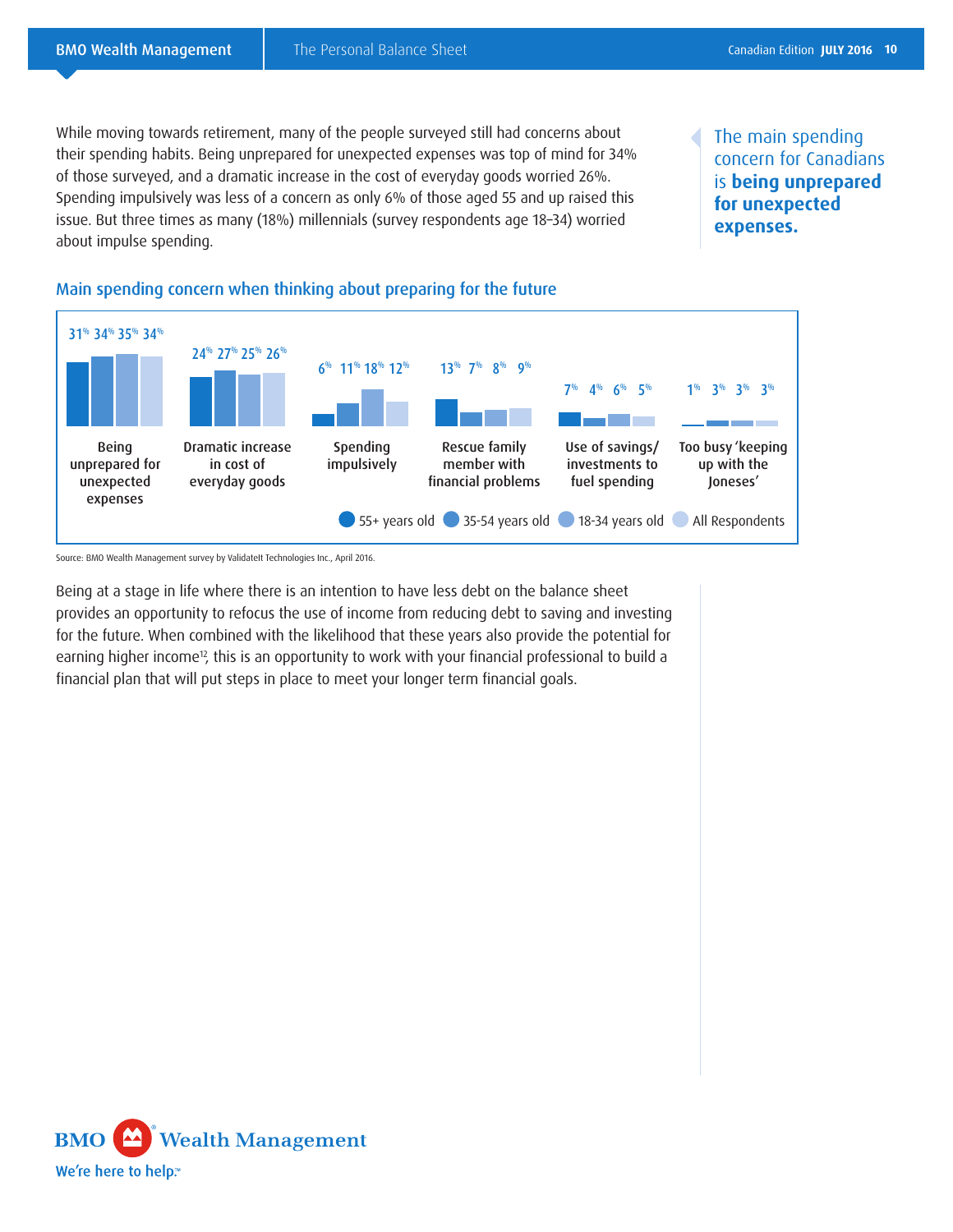While moving towards retirement, many of the people surveyed still had concerns about their spending habits. Being unprepared for unexpected expenses was top of mind for 34% of those surveyed, and a dramatic increase in the cost of everyday goods worried 26%. Spending impulsively was less of a concern as only 6% of those aged 55 and up raised this issue. But three times as many (18%) millennials (survey respondents age 18–34) worried about impulse spending.

The main spending concern for Canadians is **being unprepared for unexpected expenses.**



Main spending concern when thinking about preparing for the future

Source: BMO Wealth Management survey by ValidateIt Technologies Inc., April 2016.

Being at a stage in life where there is an intention to have less debt on the balance sheet provides an opportunity to refocus the use of income from reducing debt to saving and investing for the future. When combined with the likelihood that these years also provide the potential for earning higher income<sup>12</sup>, this is an opportunity to work with your financial professional to build a financial plan that will put steps in place to meet your longer term financial goals.

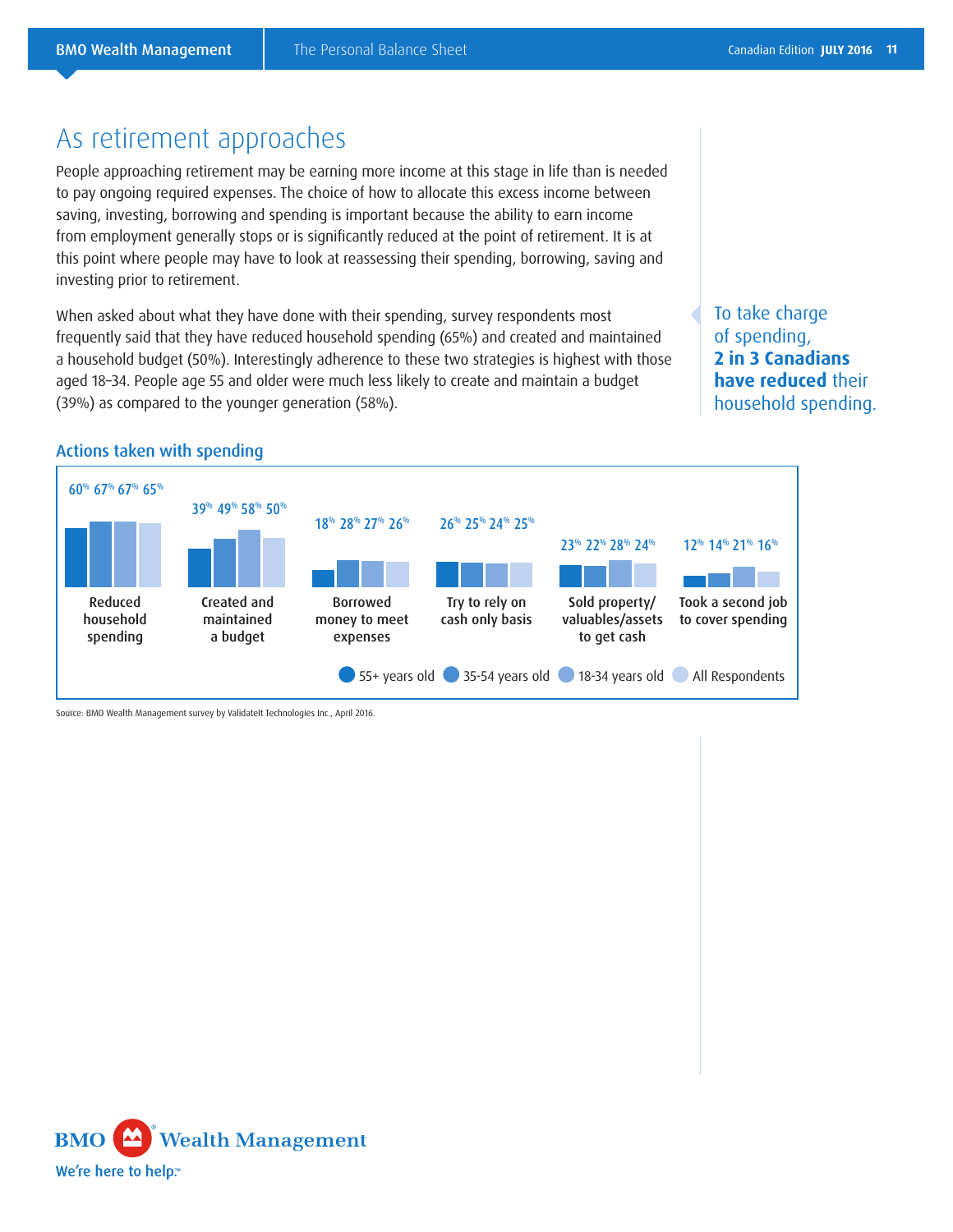### As retirement approaches

People approaching retirement may be earning more income at this stage in life than is needed to pay ongoing required expenses. The choice of how to allocate this excess income between saving, investing, borrowing and spending is important because the ability to earn income from employment generally stops or is significantly reduced at the point of retirement. It is at this point where people may have to look at reassessing their spending, borrowing, saving and investing prior to retirement.

When asked about what they have done with their spending, survey respondents most frequently said that they have reduced household spending (65%) and created and maintained a household budget (50%). Interestingly adherence to these two strategies is highest with those aged 18–34. People age 55 and older were much less likely to create and maintain a budget (39%) as compared to the younger generation (58%).

To take charge of spending, **2 in 3 Canadians have reduced** their household spending.



#### Actions taken with spending

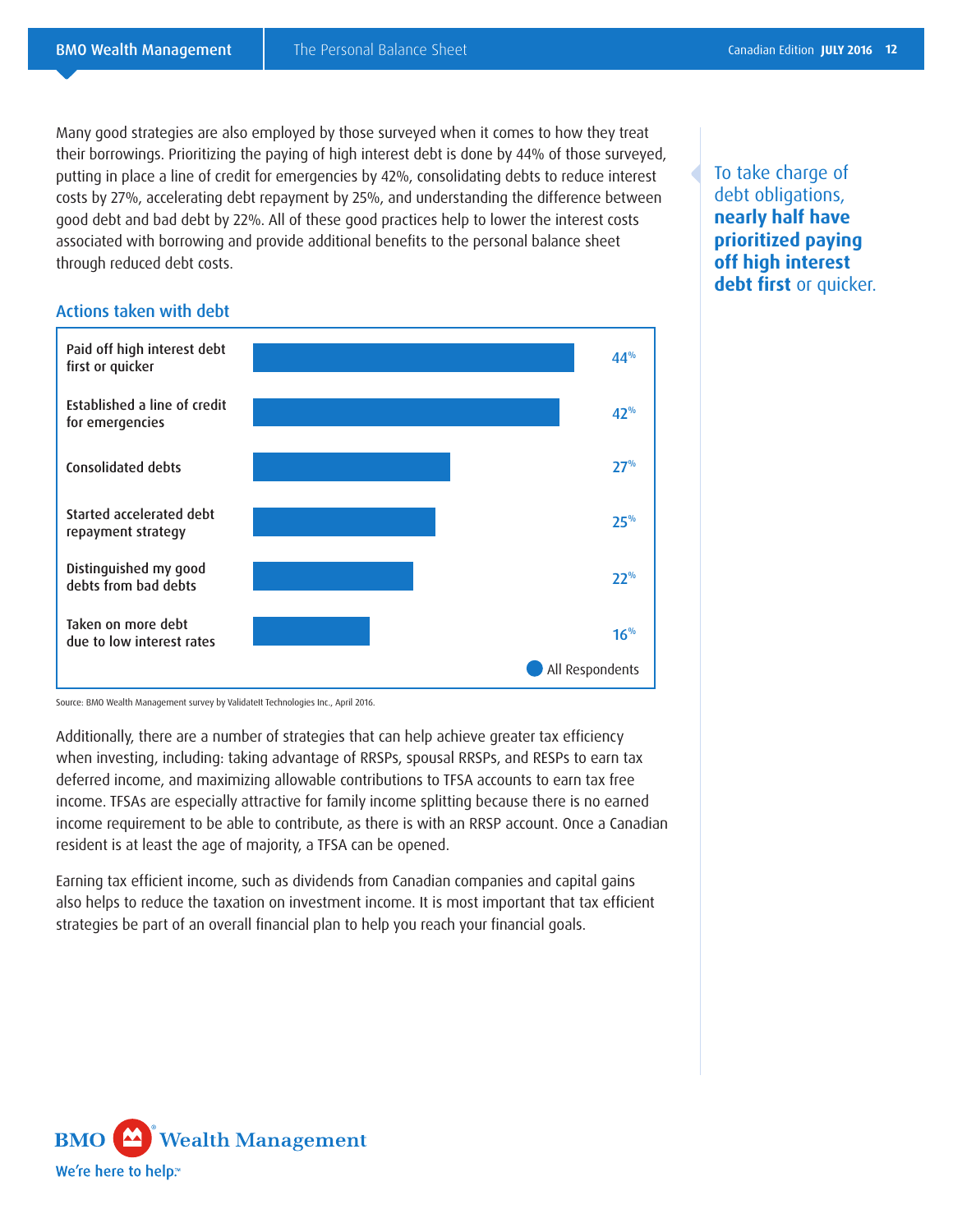Many good strategies are also employed by those surveyed when it comes to how they treat their borrowings. Prioritizing the paying of high interest debt is done by 44% of those surveyed, putting in place a line of credit for emergencies by 42%, consolidating debts to reduce interest costs by 27%, accelerating debt repayment by 25%, and understanding the difference between good debt and bad debt by 22%. All of these good practices help to lower the interest costs associated with borrowing and provide additional benefits to the personal balance sheet through reduced debt costs.





To take charge of debt obligations, **nearly half have prioritized paying off high interest debt first** or quicker.

Source: BMO Wealth Management survey by ValidateIt Technologies Inc., April 2016.

Additionally, there are a number of strategies that can help achieve greater tax efficiency when investing, including: taking advantage of RRSPs, spousal RRSPs, and RESPs to earn tax deferred income, and maximizing allowable contributions to TFSA accounts to earn tax free income. TFSAs are especially attractive for family income splitting because there is no earned income requirement to be able to contribute, as there is with an RRSP account. Once a Canadian resident is at least the age of majority, a TFSA can be opened.

Earning tax efficient income, such as dividends from Canadian companies and capital gains also helps to reduce the taxation on investment income. It is most important that tax efficient strategies be part of an overall financial plan to help you reach your financial goals.

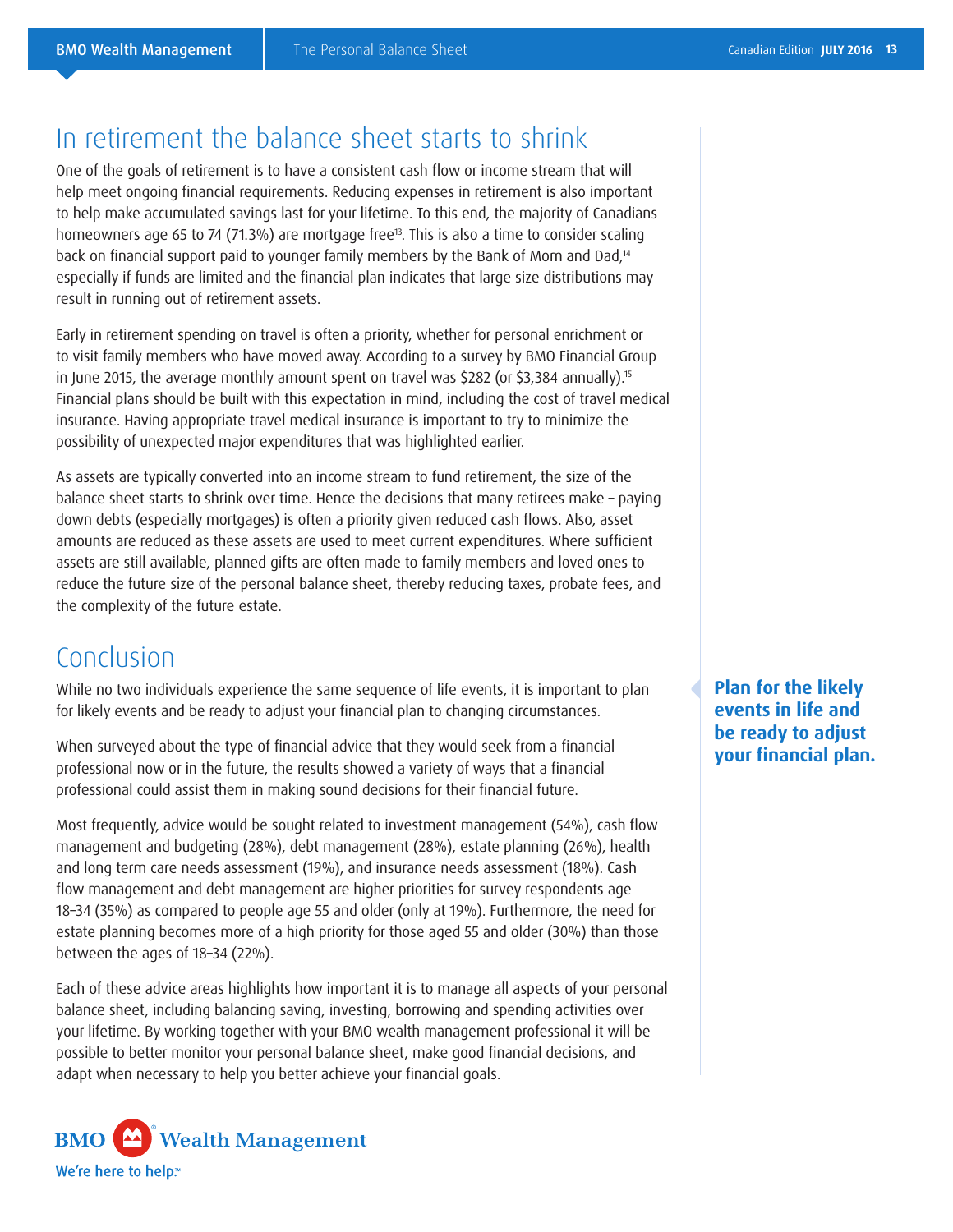### In retirement the balance sheet starts to shrink

One of the goals of retirement is to have a consistent cash flow or income stream that will help meet ongoing financial requirements. Reducing expenses in retirement is also important to help make accumulated savings last for your lifetime. To this end, the majority of Canadians homeowners age 65 to 74 (71.3%) are mortgage free<sup>13</sup>. This is also a time to consider scaling back on financial support paid to younger family members by the Bank of Mom and Dad,<sup>14</sup> especially if funds are limited and the financial plan indicates that large size distributions may result in running out of retirement assets.

Early in retirement spending on travel is often a priority, whether for personal enrichment or to visit family members who have moved away. According to a survey by BMO Financial Group in June 2015, the average monthly amount spent on travel was \$282 (or \$3,384 annually).<sup>15</sup> Financial plans should be built with this expectation in mind, including the cost of travel medical insurance. Having appropriate travel medical insurance is important to try to minimize the possibility of unexpected major expenditures that was highlighted earlier.

As assets are typically converted into an income stream to fund retirement, the size of the balance sheet starts to shrink over time. Hence the decisions that many retirees make – paying down debts (especially mortgages) is often a priority given reduced cash flows. Also, asset amounts are reduced as these assets are used to meet current expenditures. Where sufficient assets are still available, planned gifts are often made to family members and loved ones to reduce the future size of the personal balance sheet, thereby reducing taxes, probate fees, and the complexity of the future estate.

## Conclusion

While no two individuals experience the same sequence of life events, it is important to plan for likely events and be ready to adjust your financial plan to changing circumstances.

When surveyed about the type of financial advice that they would seek from a financial professional now or in the future, the results showed a variety of ways that a financial professional could assist them in making sound decisions for their financial future.

Most frequently, advice would be sought related to investment management (54%), cash flow management and budgeting (28%), debt management (28%), estate planning (26%), health and long term care needs assessment (19%), and insurance needs assessment (18%). Cash flow management and debt management are higher priorities for survey respondents age 18–34 (35%) as compared to people age 55 and older (only at 19%). Furthermore, the need for estate planning becomes more of a high priority for those aged 55 and older (30%) than those between the ages of 18–34 (22%).

Each of these advice areas highlights how important it is to manage all aspects of your personal balance sheet, including balancing saving, investing, borrowing and spending activities over your lifetime. By working together with your BMO wealth management professional it will be possible to better monitor your personal balance sheet, make good financial decisions, and adapt when necessary to help you better achieve your financial goals.



**Plan for the likely events in life and be ready to adjust your financial plan.**